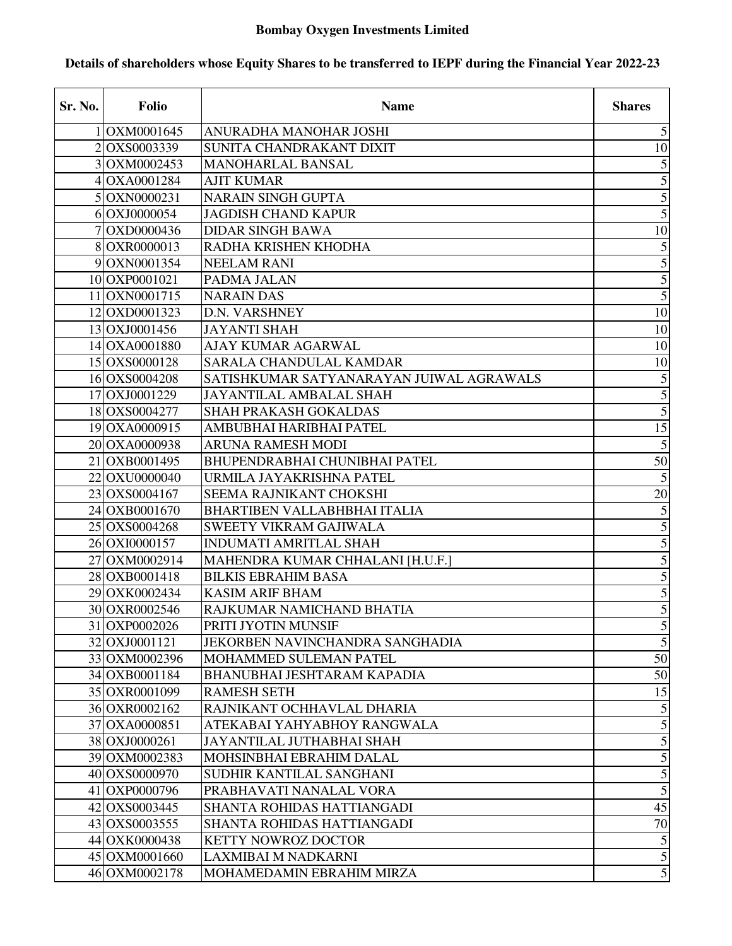## **Bombay Oxygen Investments Limited**

## Sr. No. | Folio | Shares 1 OXM0001645 ANURADHA MANOHAR JOSHI 5 2 OXS0003339 SUNITA CHANDRAKANT DIXIT 3 OXM0002453 MANOHARLAL BANSAL 5 4 OXA0001284 AJIT KUMAR 5 5 OXN0000231 NARAIN SINGH GUPTA 5 6 OXJ0000054 JAGDISH CHAND KAPUR 5 7 OXD0000436 DIDAR SINGH BAWA 10 8 OXR0000013 RADHA KRISHEN KHODHA 5 9 OXN0001354 NEELAM RANI 5 10 OXP0001021 PADMA JALAN 5 11 OXN0001715 NARAIN DAS 5 12 OXD0001323 D.N. VARSHNEY 10 13 OXJ0001456 JAYANTI SHAH 10 14 OXA0001880 AJAY KUMAR AGARWAL 10 15 OXS0000128 SARALA CHANDULAL KAMDAR 10 16 OXS0004208 SATISHKUMAR SATYANARAYAN JUIWAL AGRAWALS 5 17 OXJ0001229 JAYANTILAL AMBALAL SHAH 5 18 OXS0004277 SHAH PRAKASH GOKALDAS 5 19 OXA0000915 AMBUBHAI HARIBHAI PATEL 15 20 OXA0000938 ARUNA RAMESH MODI 5 21 OXB0001495 BHUPENDRABHAI CHUNIBHAI PATEL 50 22 OXU0000040 URMILA JAYAKRISHNA PATEL 5 23 OXS0004167 SEEMA RAJNIKANT CHOKSHI 20 24 OXB0001670 BHARTIBEN VALLABHBHAI ITALIA 5 25 OXS0004268 SWEETY VIKRAM GAJIWALA 5 26 OXI0000157 INDUMATI AMRITLAL SHAH 5 27 OXM0002914 MAHENDRA KUMAR CHHALANI [H.U.F.] 5 28 OXB0001418 BILKIS EBRAHIM BASA 5 29 OXK0002434 KASIM ARIF BHAM 5 30 OXR0002546 RAJKUMAR NAMICHAND BHATIA 5 31 OXP0002026 PRITI JYOTIN MUNSIF 5 32 OXJ0001121 JEKORBEN NAVINCHANDRA SANGHADIA 5 33 OXM0002396 MOHAMMED SULEMAN PATEL 50 34 OXB0001184 BHANUBHAI JESHTARAM KAPADIA 50 35 OXR0001099 RAMESH SETH 15 36 OXR0002162 RAJNIKANT OCHHAVLAL DHARIA 5 37 OXA0000851 ATEKABAI YAHYABHOY RANGWALA 5 38 OXJ0000261 JAYANTILAL JUTHABHAI SHAH 5 39 OXM0002383 MOHSINBHAI EBRAHIM DALAL 5 40 OXS0000970 SUDHIR KANTILAL SANGHANI 5 41 OXP0000796 PRABHAVATI NANALAL VORA 5 42 OXS0003445 SHANTA ROHIDAS HATTIANGADI 45 43 OXS0003555 SHANTA ROHIDAS HATTIANGADI 70 44 OXK0000438 KETTY NOWROZ DOCTOR 5 45 OXM0001660 LAXMIBAI M NADKARNI 5 46 OXM0002178 MOHAMEDAMIN EBRAHIM MIRZA 5

## **Details of shareholders whose Equity Shares to be transferred to IEPF during the Financial Year 2022-23**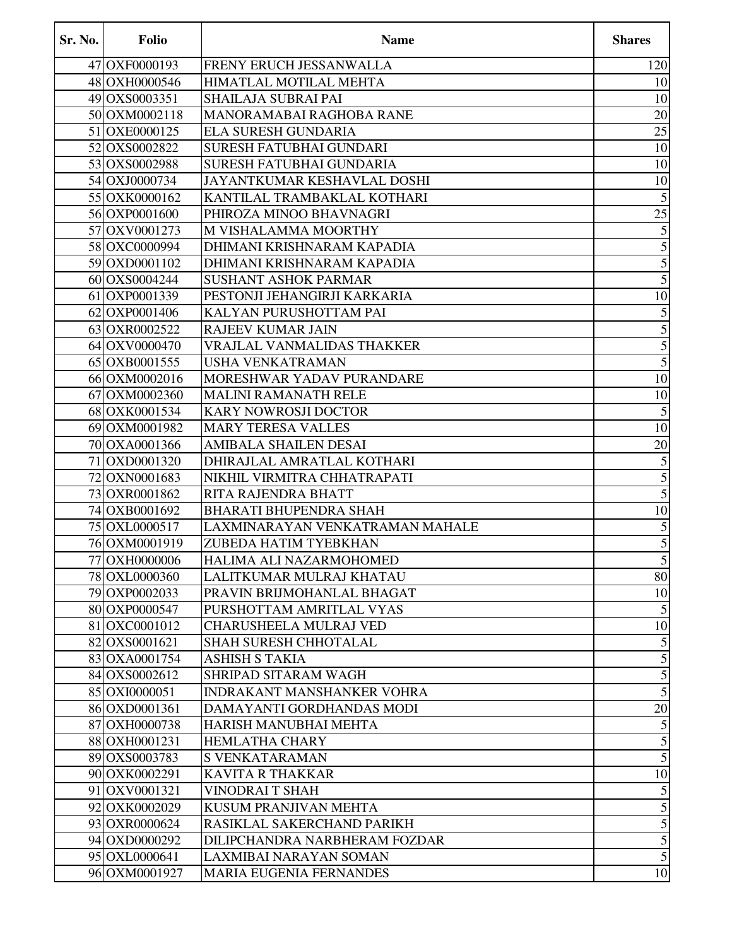| Sr. No. | <b>Folio</b>  | <b>Name</b>                       | <b>Shares</b>           |
|---------|---------------|-----------------------------------|-------------------------|
|         | 47 OXF0000193 | FRENY ERUCH JESSANWALLA           | 120                     |
|         | 48 OXH0000546 | HIMATLAL MOTILAL MEHTA            | 10                      |
|         | 49 OXS0003351 | SHAILAJA SUBRAI PAI               | 10                      |
|         | 50 OXM0002118 | MANORAMABAI RAGHOBA RANE          | $20\,$                  |
|         | 51 OXE0000125 | ELA SURESH GUNDARIA               | $\overline{25}$         |
|         | 52 OXS0002822 | <b>SURESH FATUBHAI GUNDARI</b>    | 10                      |
|         | 53 OXS0002988 | SURESH FATUBHAI GUNDARIA          | 10                      |
|         | 54 OXJ0000734 | JAYANTKUMAR KESHAVLAL DOSHI       | 10                      |
|         | 55 OXK0000162 | KANTILAL TRAMBAKLAL KOTHARI       | $\sqrt{5}$              |
|         | 56 OXP0001600 | PHIROZA MINOO BHAVNAGRI           | $\overline{25}$         |
|         | 57 OXV0001273 | M VISHALAMMA MOORTHY              | 5                       |
|         | 58 OXC0000994 | DHIMANI KRISHNARAM KAPADIA        | $\overline{5}$          |
|         | 59 OXD0001102 | DHIMANI KRISHNARAM KAPADIA        | $\overline{5}$          |
|         | 60 OXS0004244 | <b>SUSHANT ASHOK PARMAR</b>       | $\overline{5}$          |
|         | 61 OXP0001339 | PESTONJI JEHANGIRJI KARKARIA      | 10                      |
|         | 62 OXP0001406 | KALYAN PURUSHOTTAM PAI            | $\overline{5}$          |
|         | 63 OXR0002522 | RAJEEV KUMAR JAIN                 | $\overline{5}$          |
|         | 64 OXV0000470 | VRAJLAL VANMALIDAS THAKKER        | 5                       |
|         | 65 OXB0001555 | <b>USHA VENKATRAMAN</b>           | $\overline{5}$          |
|         | 66 OXM0002016 | MORESHWAR YADAV PURANDARE         | 10                      |
|         | 67 OXM0002360 | <b>MALINI RAMANATH RELE</b>       | 10                      |
|         | 68 OXK0001534 | <b>KARY NOWROSJI DOCTOR</b>       | $\mathfrak{S}$          |
|         | 69 OXM0001982 | <b>MARY TERESA VALLES</b>         | 10                      |
|         | 70 OXA0001366 | AMIBALA SHAILEN DESAI             | $20\,$                  |
|         | 71 OXD0001320 | DHIRAJLAL AMRATLAL KOTHARI        | $\overline{5}$          |
|         | 72 OXN0001683 | NIKHIL VIRMITRA CHHATRAPATI       | $\overline{5}$          |
|         | 73 OXR0001862 | RITA RAJENDRA BHATT               | $\overline{5}$          |
|         | 74 OXB0001692 | <b>BHARATI BHUPENDRA SHAH</b>     | 10                      |
|         | 75 OXL0000517 | LAXMINARAYAN VENKATRAMAN MAHALE   | 5                       |
|         | 76 OXM0001919 | ZUBEDA HATIM TYEBKHAN             | $\overline{5}$          |
|         | 77 OXH0000006 | HALIMA ALI NAZARMOHOMED           | $\mathfrak{S}$          |
|         | 78 OXL0000360 | LALITKUMAR MULRAJ KHATAU          | 80                      |
|         | 79 OXP0002033 | PRAVIN BRIJMOHANLAL BHAGAT        | 10                      |
|         | 80 OXP0000547 | PURSHOTTAM AMRITLAL VYAS          | $\mathfrak s$           |
|         | 81 OXC0001012 | <b>CHARUSHEELA MULRAJ VED</b>     | 10                      |
|         | 82 OXS0001621 | <b>SHAH SURESH CHHOTALAL</b>      | $\sqrt{5}$              |
|         | 83 OXA0001754 | <b>ASHISH S TAKIA</b>             | $\sqrt{5}$              |
|         | 84 OXS0002612 | SHRIPAD SITARAM WAGH              | 5                       |
|         | 85 OXI0000051 | <b>INDRAKANT MANSHANKER VOHRA</b> | $\overline{5}$          |
|         | 86 OXD0001361 | DAMAYANTI GORDHANDAS MODI         | 20                      |
|         | 87 OXH0000738 | HARISH MANUBHAI MEHTA             | $\sqrt{5}$              |
|         | 88 OXH0001231 | <b>HEMLATHA CHARY</b>             | $\overline{5}$          |
|         | 89 OXS0003783 | <b>S VENKATARAMAN</b>             | 5                       |
|         | 90 OXK0002291 | <b>KAVITA R THAKKAR</b>           | 10                      |
|         | 91 OXV0001321 | VINODRAI T SHAH                   | $\sqrt{5}$              |
|         | 92 OXK0002029 | KUSUM PRANJIVAN MEHTA             | $\overline{5}$          |
|         | 93 OXR0000624 | RASIKLAL SAKERCHAND PARIKH        | $\overline{\mathbf{5}}$ |
|         | 94 OXD0000292 | DILIPCHANDRA NARBHERAM FOZDAR     | $\overline{5}$          |
|         | 95 OXL0000641 | LAXMIBAI NARAYAN SOMAN            | $\overline{5}$          |
|         | 96 OXM0001927 | <b>MARIA EUGENIA FERNANDES</b>    | 10                      |